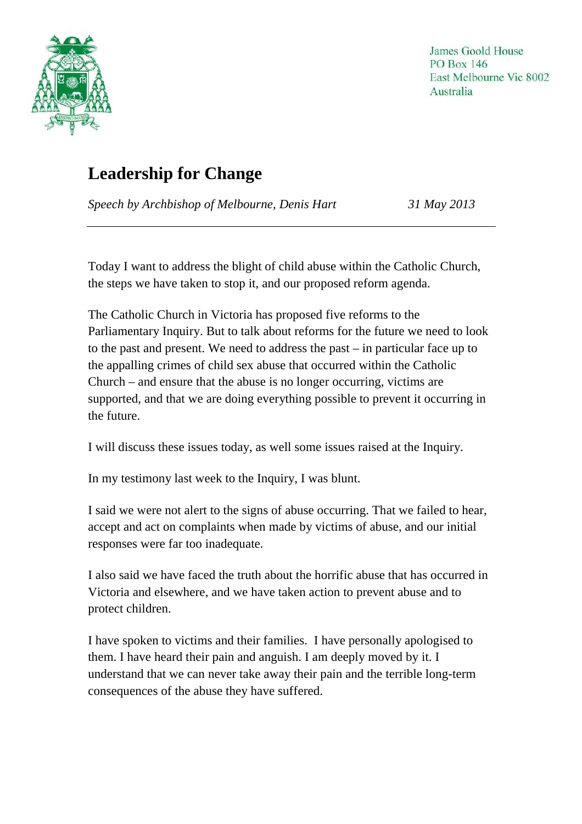

## **Leadership for Change**

*Speech by Archbishop of Melbourne, Denis Hart 31 May 2013* 

Today I want to address the blight of child abuse within the Catholic Church, the steps we have taken to stop it, and our proposed reform agenda.

The Catholic Church in Victoria has proposed five reforms to the Parliamentary Inquiry. But to talk about reforms for the future we need to look to the past and present. We need to address the past – in particular face up to the appalling crimes of child sex abuse that occurred within the Catholic Church – and ensure that the abuse is no longer occurring, victims are supported, and that we are doing everything possible to prevent it occurring in the future.

I will discuss these issues today, as well some issues raised at the Inquiry.

In my testimony last week to the Inquiry, I was blunt.

I said we were not alert to the signs of abuse occurring. That we failed to hear, accept and act on complaints when made by victims of abuse, and our initial responses were far too inadequate.

I also said we have faced the truth about the horrific abuse that has occurred in Victoria and elsewhere, and we have taken action to prevent abuse and to protect children.

I have spoken to victims and their families. I have personally apologised to them. I have heard their pain and anguish. I am deeply moved by it. I understand that we can never take away their pain and the terrible long-term consequences of the abuse they have suffered.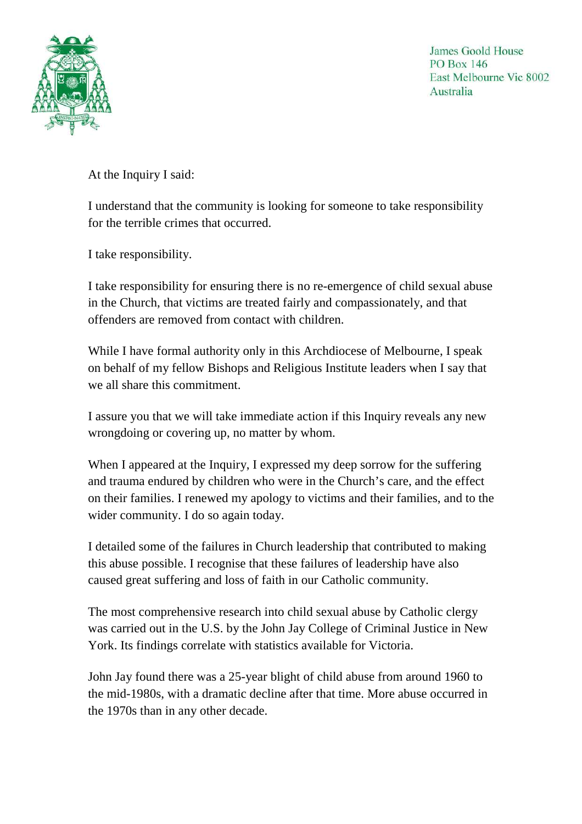

At the Inquiry I said:

I understand that the community is looking for someone to take responsibility for the terrible crimes that occurred.

I take responsibility.

I take responsibility for ensuring there is no re-emergence of child sexual abuse in the Church, that victims are treated fairly and compassionately, and that offenders are removed from contact with children.

While I have formal authority only in this Archdiocese of Melbourne, I speak on behalf of my fellow Bishops and Religious Institute leaders when I say that we all share this commitment.

I assure you that we will take immediate action if this Inquiry reveals any new wrongdoing or covering up, no matter by whom.

When I appeared at the Inquiry, I expressed my deep sorrow for the suffering and trauma endured by children who were in the Church's care, and the effect on their families. I renewed my apology to victims and their families, and to the wider community. I do so again today.

I detailed some of the failures in Church leadership that contributed to making this abuse possible. I recognise that these failures of leadership have also caused great suffering and loss of faith in our Catholic community.

The most comprehensive research into child sexual abuse by Catholic clergy was carried out in the U.S. by the John Jay College of Criminal Justice in New York. Its findings correlate with statistics available for Victoria.

John Jay found there was a 25-year blight of child abuse from around 1960 to the mid-1980s, with a dramatic decline after that time. More abuse occurred in the 1970s than in any other decade.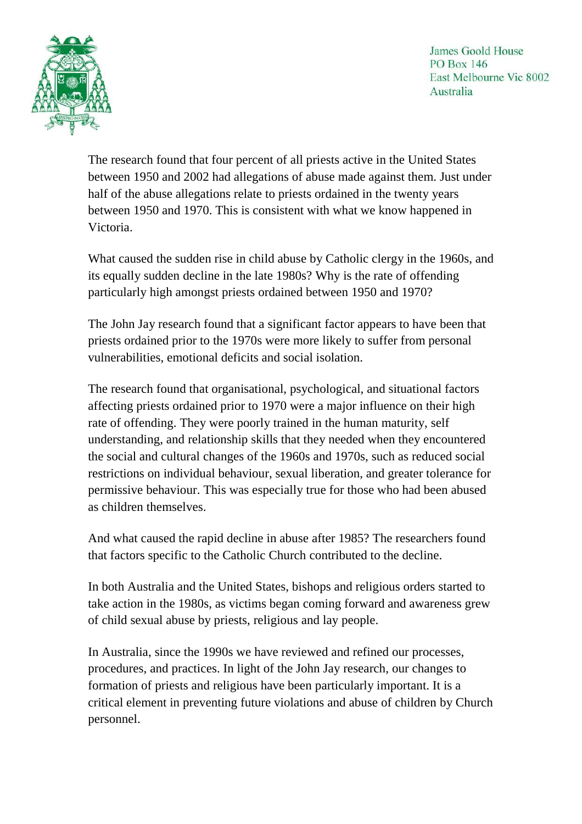

The research found that four percent of all priests active in the United States between 1950 and 2002 had allegations of abuse made against them. Just under half of the abuse allegations relate to priests ordained in the twenty years between 1950 and 1970. This is consistent with what we know happened in Victoria.

What caused the sudden rise in child abuse by Catholic clergy in the 1960s, and its equally sudden decline in the late 1980s? Why is the rate of offending particularly high amongst priests ordained between 1950 and 1970?

The John Jay research found that a significant factor appears to have been that priests ordained prior to the 1970s were more likely to suffer from personal vulnerabilities, emotional deficits and social isolation.

The research found that organisational, psychological, and situational factors affecting priests ordained prior to 1970 were a major influence on their high rate of offending. They were poorly trained in the human maturity, self understanding, and relationship skills that they needed when they encountered the social and cultural changes of the 1960s and 1970s, such as reduced social restrictions on individual behaviour, sexual liberation, and greater tolerance for permissive behaviour. This was especially true for those who had been abused as children themselves.

And what caused the rapid decline in abuse after 1985? The researchers found that factors specific to the Catholic Church contributed to the decline.

In both Australia and the United States, bishops and religious orders started to take action in the 1980s, as victims began coming forward and awareness grew of child sexual abuse by priests, religious and lay people.

In Australia, since the 1990s we have reviewed and refined our processes, procedures, and practices. In light of the John Jay research, our changes to formation of priests and religious have been particularly important. It is a critical element in preventing future violations and abuse of children by Church personnel.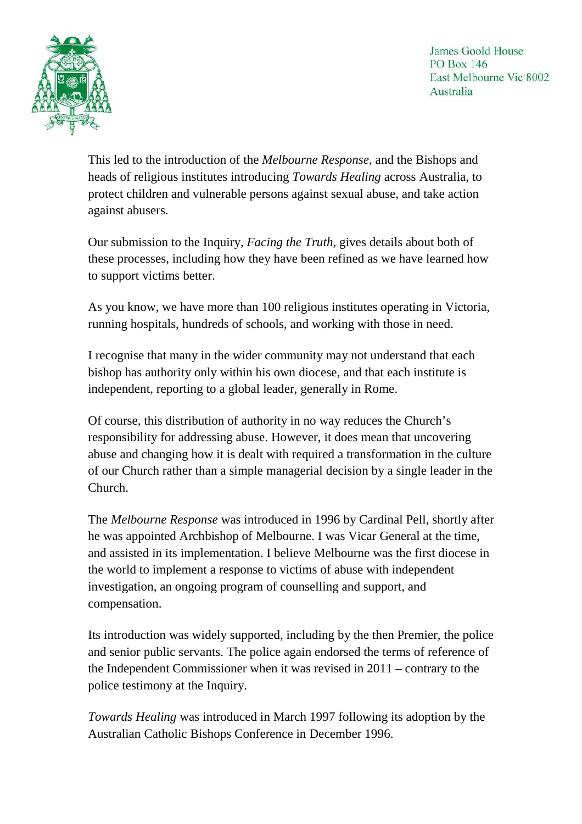

This led to the introduction of the *Melbourne Response*, and the Bishops and heads of religious institutes introducing *Towards Healing* across Australia, to protect children and vulnerable persons against sexual abuse, and take action against abusers.

Our submission to the Inquiry, *Facing the Truth,* gives details about both of these processes, including how they have been refined as we have learned how to support victims better.

As you know, we have more than 100 religious institutes operating in Victoria, running hospitals, hundreds of schools, and working with those in need.

I recognise that many in the wider community may not understand that each bishop has authority only within his own diocese, and that each institute is independent, reporting to a global leader, generally in Rome.

Of course, this distribution of authority in no way reduces the Church's responsibility for addressing abuse. However, it does mean that uncovering abuse and changing how it is dealt with required a transformation in the culture of our Church rather than a simple managerial decision by a single leader in the Church.

The *Melbourne Response* was introduced in 1996 by Cardinal Pell, shortly after he was appointed Archbishop of Melbourne. I was Vicar General at the time, and assisted in its implementation. I believe Melbourne was the first diocese in the world to implement a response to victims of abuse with independent investigation, an ongoing program of counselling and support, and compensation.

Its introduction was widely supported, including by the then Premier, the police and senior public servants. The police again endorsed the terms of reference of the Independent Commissioner when it was revised in 2011 – contrary to the police testimony at the Inquiry.

*Towards Healing* was introduced in March 1997 following its adoption by the Australian Catholic Bishops Conference in December 1996.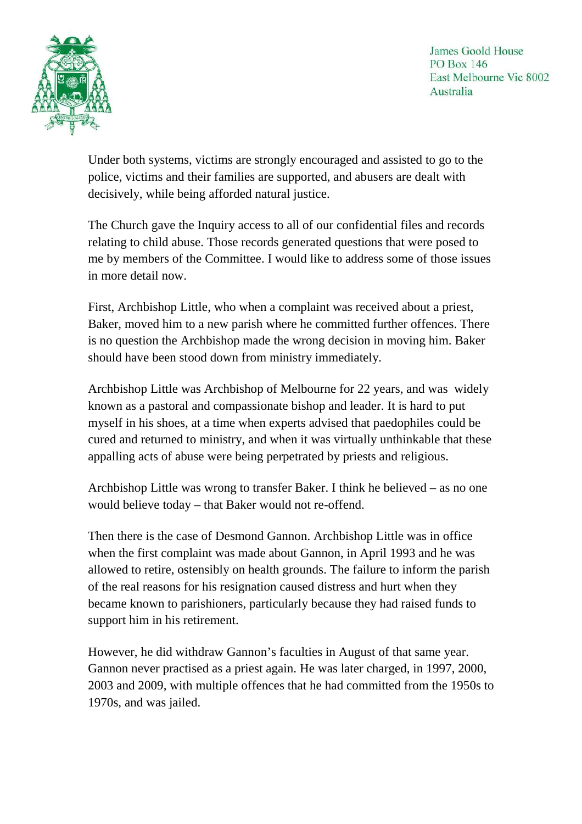

Under both systems, victims are strongly encouraged and assisted to go to the police, victims and their families are supported, and abusers are dealt with decisively, while being afforded natural justice.

The Church gave the Inquiry access to all of our confidential files and records relating to child abuse. Those records generated questions that were posed to me by members of the Committee. I would like to address some of those issues in more detail now.

First, Archbishop Little, who when a complaint was received about a priest, Baker, moved him to a new parish where he committed further offences. There is no question the Archbishop made the wrong decision in moving him. Baker should have been stood down from ministry immediately.

Archbishop Little was Archbishop of Melbourne for 22 years, and was widely known as a pastoral and compassionate bishop and leader. It is hard to put myself in his shoes, at a time when experts advised that paedophiles could be cured and returned to ministry, and when it was virtually unthinkable that these appalling acts of abuse were being perpetrated by priests and religious.

Archbishop Little was wrong to transfer Baker. I think he believed – as no one would believe today – that Baker would not re-offend.

Then there is the case of Desmond Gannon. Archbishop Little was in office when the first complaint was made about Gannon, in April 1993 and he was allowed to retire, ostensibly on health grounds. The failure to inform the parish of the real reasons for his resignation caused distress and hurt when they became known to parishioners, particularly because they had raised funds to support him in his retirement.

However, he did withdraw Gannon's faculties in August of that same year. Gannon never practised as a priest again. He was later charged, in 1997, 2000, 2003 and 2009, with multiple offences that he had committed from the 1950s to 1970s, and was jailed.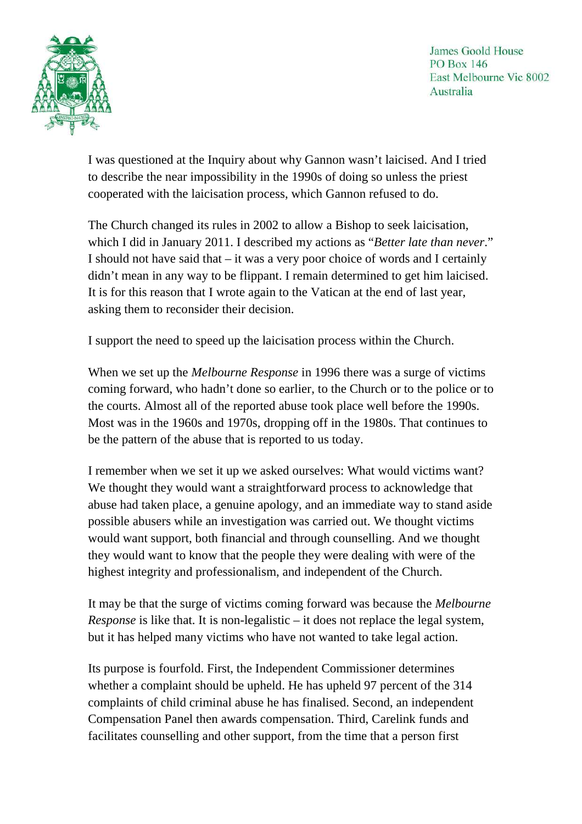

I was questioned at the Inquiry about why Gannon wasn't laicised. And I tried to describe the near impossibility in the 1990s of doing so unless the priest cooperated with the laicisation process, which Gannon refused to do.

The Church changed its rules in 2002 to allow a Bishop to seek laicisation, which I did in January 2011. I described my actions as "*Better late than never*." I should not have said that – it was a very poor choice of words and I certainly didn't mean in any way to be flippant. I remain determined to get him laicised. It is for this reason that I wrote again to the Vatican at the end of last year, asking them to reconsider their decision.

I support the need to speed up the laicisation process within the Church.

When we set up the *Melbourne Response* in 1996 there was a surge of victims coming forward, who hadn't done so earlier, to the Church or to the police or to the courts. Almost all of the reported abuse took place well before the 1990s. Most was in the 1960s and 1970s, dropping off in the 1980s. That continues to be the pattern of the abuse that is reported to us today.

I remember when we set it up we asked ourselves: What would victims want? We thought they would want a straightforward process to acknowledge that abuse had taken place, a genuine apology, and an immediate way to stand aside possible abusers while an investigation was carried out. We thought victims would want support, both financial and through counselling. And we thought they would want to know that the people they were dealing with were of the highest integrity and professionalism, and independent of the Church.

It may be that the surge of victims coming forward was because the *Melbourne Response* is like that. It is non-legalistic – it does not replace the legal system, but it has helped many victims who have not wanted to take legal action.

Its purpose is fourfold. First, the Independent Commissioner determines whether a complaint should be upheld. He has upheld 97 percent of the 314 complaints of child criminal abuse he has finalised. Second, an independent Compensation Panel then awards compensation. Third, Carelink funds and facilitates counselling and other support, from the time that a person first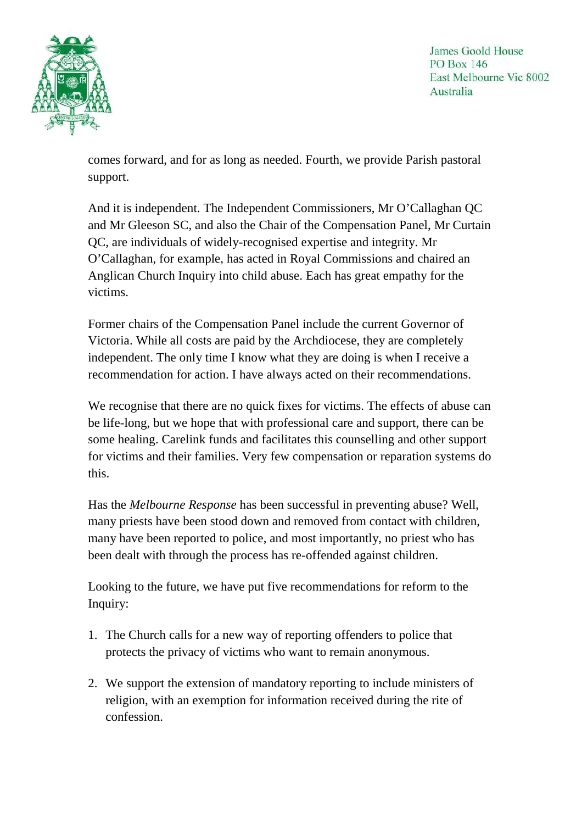



comes forward, and for as long as needed. Fourth, we provide Parish pastoral support.

And it is independent. The Independent Commissioners, Mr O'Callaghan QC and Mr Gleeson SC, and also the Chair of the Compensation Panel, Mr Curtain QC, are individuals of widely-recognised expertise and integrity. Mr O'Callaghan, for example, has acted in Royal Commissions and chaired an Anglican Church Inquiry into child abuse. Each has great empathy for the victims.

Former chairs of the Compensation Panel include the current Governor of Victoria. While all costs are paid by the Archdiocese, they are completely independent. The only time I know what they are doing is when I receive a recommendation for action. I have always acted on their recommendations.

We recognise that there are no quick fixes for victims. The effects of abuse can be life-long, but we hope that with professional care and support, there can be some healing. Carelink funds and facilitates this counselling and other support for victims and their families. Very few compensation or reparation systems do this.

Has the *Melbourne Response* has been successful in preventing abuse? Well, many priests have been stood down and removed from contact with children, many have been reported to police, and most importantly, no priest who has been dealt with through the process has re-offended against children.

Looking to the future, we have put five recommendations for reform to the Inquiry:

- 1. The Church calls for a new way of reporting offenders to police that protects the privacy of victims who want to remain anonymous.
- 2. We support the extension of mandatory reporting to include ministers of religion, with an exemption for information received during the rite of confession.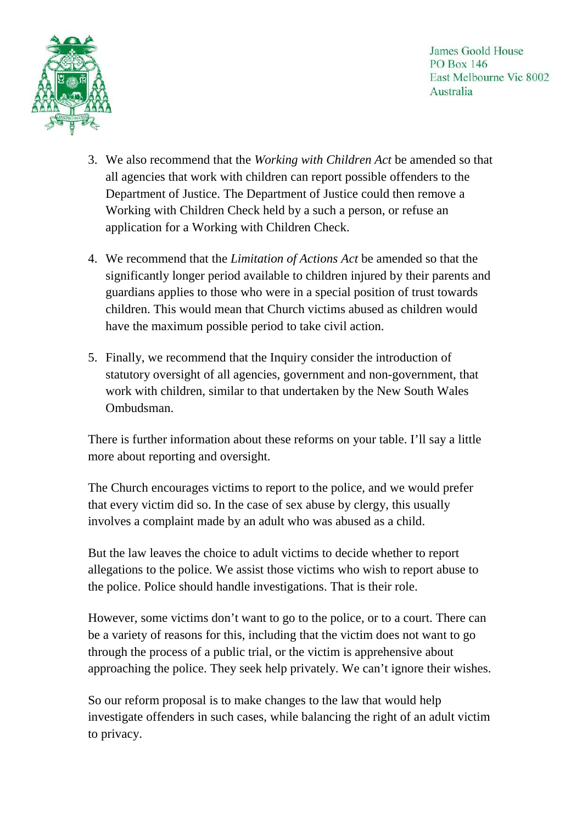



- 3. We also recommend that the *Working with Children Act* be amended so that all agencies that work with children can report possible offenders to the Department of Justice. The Department of Justice could then remove a Working with Children Check held by a such a person, or refuse an application for a Working with Children Check.
- 4. We recommend that the *Limitation of Actions Act* be amended so that the significantly longer period available to children injured by their parents and guardians applies to those who were in a special position of trust towards children. This would mean that Church victims abused as children would have the maximum possible period to take civil action.
- 5. Finally, we recommend that the Inquiry consider the introduction of statutory oversight of all agencies, government and non-government, that work with children, similar to that undertaken by the New South Wales Ombudsman.

There is further information about these reforms on your table. I'll say a little more about reporting and oversight.

The Church encourages victims to report to the police, and we would prefer that every victim did so. In the case of sex abuse by clergy, this usually involves a complaint made by an adult who was abused as a child.

But the law leaves the choice to adult victims to decide whether to report allegations to the police. We assist those victims who wish to report abuse to the police. Police should handle investigations. That is their role.

However, some victims don't want to go to the police, or to a court. There can be a variety of reasons for this, including that the victim does not want to go through the process of a public trial, or the victim is apprehensive about approaching the police. They seek help privately. We can't ignore their wishes.

So our reform proposal is to make changes to the law that would help investigate offenders in such cases, while balancing the right of an adult victim to privacy.